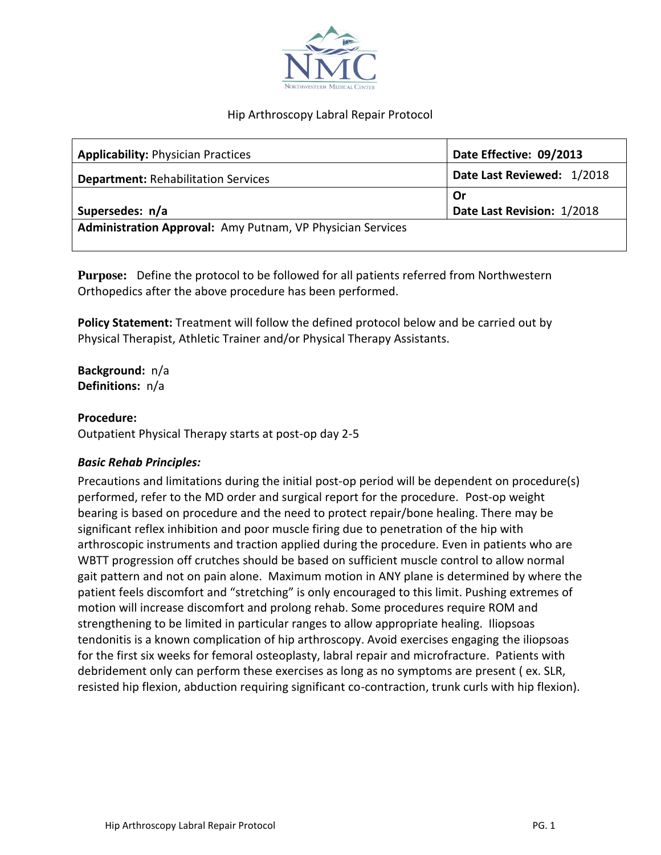

# Hip Arthroscopy Labral Repair Protocol

| <b>Applicability: Physician Practices</b>                  | Date Effective: 09/2013    |
|------------------------------------------------------------|----------------------------|
| <b>Department: Rehabilitation Services</b>                 | Date Last Reviewed: 1/2018 |
|                                                            | Or                         |
| Supersedes: n/a                                            | Date Last Revision: 1/2018 |
| Administration Approval: Amy Putnam, VP Physician Services |                            |
|                                                            |                            |

**Purpose:** Define the protocol to be followed for all patients referred from Northwestern Orthopedics after the above procedure has been performed.

**Policy Statement:** Treatment will follow the defined protocol below and be carried out by Physical Therapist, Athletic Trainer and/or Physical Therapy Assistants.

**Background:** n/a **Definitions:** n/a

#### **Procedure:**

Outpatient Physical Therapy starts at post-op day 2-5

#### *Basic Rehab Principles:*

Precautions and limitations during the initial post-op period will be dependent on procedure(s) performed, refer to the MD order and surgical report for the procedure. Post-op weight bearing is based on procedure and the need to protect repair/bone healing. There may be significant reflex inhibition and poor muscle firing due to penetration of the hip with arthroscopic instruments and traction applied during the procedure. Even in patients who are WBTT progression off crutches should be based on sufficient muscle control to allow normal gait pattern and not on pain alone. Maximum motion in ANY plane is determined by where the patient feels discomfort and "stretching" is only encouraged to this limit. Pushing extremes of motion will increase discomfort and prolong rehab. Some procedures require ROM and strengthening to be limited in particular ranges to allow appropriate healing. Iliopsoas tendonitis is a known complication of hip arthroscopy. Avoid exercises engaging the iliopsoas for the first six weeks for femoral osteoplasty, labral repair and microfracture. Patients with debridement only can perform these exercises as long as no symptoms are present ( ex. SLR, resisted hip flexion, abduction requiring significant co-contraction, trunk curls with hip flexion).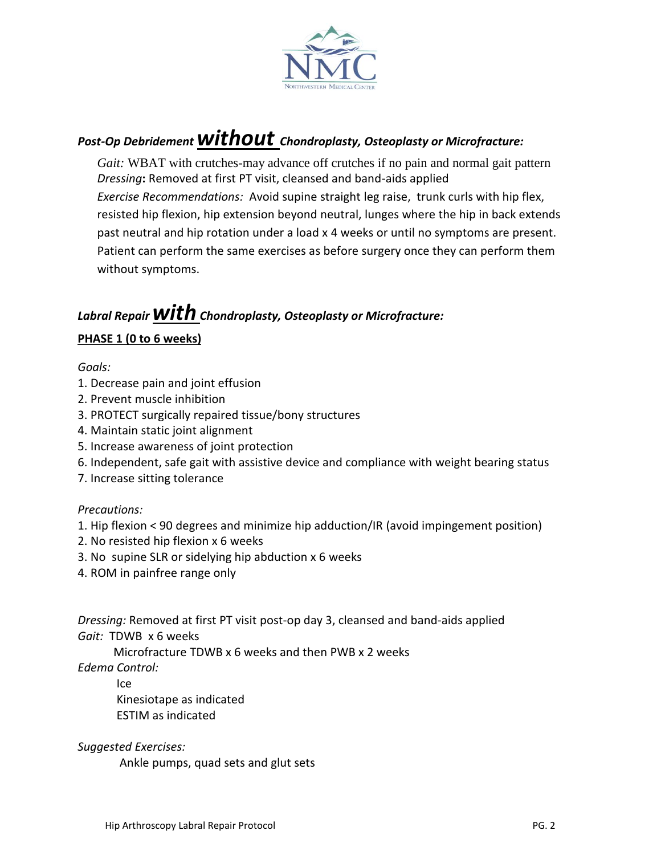

# *Post-Op Debridement without Chondroplasty, Osteoplasty or Microfracture:*

 *Gait:* WBAT with crutches-may advance off crutches if no pain and normal gait pattern *Dressing***:** Removed at first PT visit, cleansed and band-aids applied *Exercise Recommendations:* Avoid supine straight leg raise, trunk curls with hip flex, resisted hip flexion, hip extension beyond neutral, lunges where the hip in back extends past neutral and hip rotation under a load x 4 weeks or until no symptoms are present. Patient can perform the same exercises as before surgery once they can perform them without symptoms.

# *Labral Repair withChondroplasty, Osteoplasty or Microfracture:*

# **PHASE 1 (0 to 6 weeks)**

# *Goals:*

- 1. Decrease pain and joint effusion
- 2. Prevent muscle inhibition
- 3. PROTECT surgically repaired tissue/bony structures
- 4. Maintain static joint alignment
- 5. Increase awareness of joint protection
- 6. Independent, safe gait with assistive device and compliance with weight bearing status
- 7. Increase sitting tolerance

# *Precautions:*

- 1. Hip flexion < 90 degrees and minimize hip adduction/IR (avoid impingement position)
- 2. No resisted hip flexion x 6 weeks
- 3. No supine SLR or sidelying hip abduction x 6 weeks
- 4. ROM in painfree range only

*Dressing:* Removed at first PT visit post-op day 3, cleansed and band-aids applied *Gait:* TDWB x 6 weeks

Microfracture TDWB x 6 weeks and then PWB x 2 weeks

*Edema Control:*

Ice Kinesiotape as indicated ESTIM as indicated

*Suggested Exercises:*

Ankle pumps, quad sets and glut sets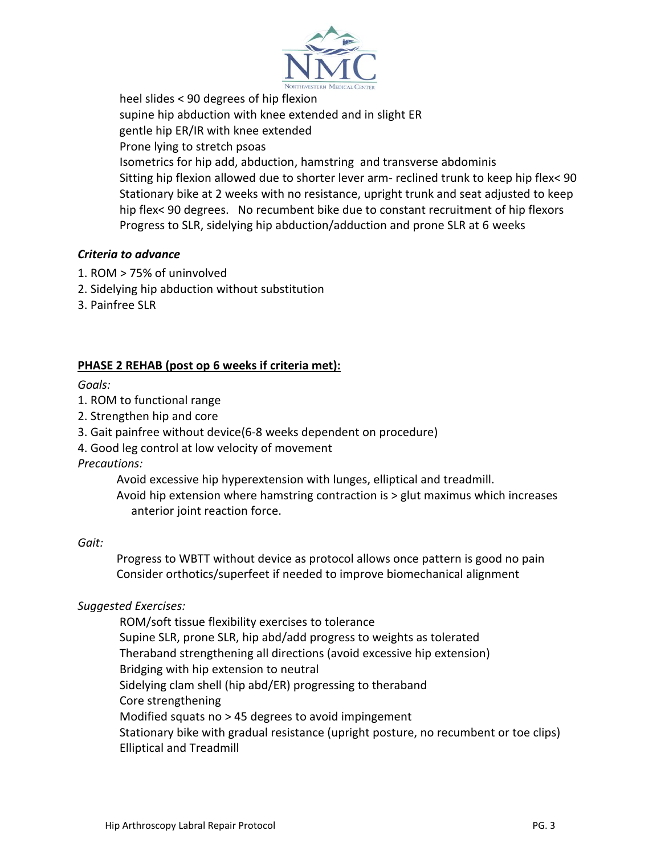

heel slides < 90 degrees of hip flexion supine hip abduction with knee extended and in slight ER gentle hip ER/IR with knee extended Prone lying to stretch psoas Isometrics for hip add, abduction, hamstring and transverse abdominis Sitting hip flexion allowed due to shorter lever arm- reclined trunk to keep hip flex< 90 Stationary bike at 2 weeks with no resistance, upright trunk and seat adjusted to keep hip flex< 90 degrees. No recumbent bike due to constant recruitment of hip flexors Progress to SLR, sidelying hip abduction/adduction and prone SLR at 6 weeks

# *Criteria to advance*

- 1. ROM > 75% of uninvolved
- 2. Sidelying hip abduction without substitution
- 3. Painfree SLR

# **PHASE 2 REHAB (post op 6 weeks if criteria met):**

*Goals:*

- 1. ROM to functional range
- 2. Strengthen hip and core
- 3. Gait painfree without device(6-8 weeks dependent on procedure)
- 4. Good leg control at low velocity of movement

*Precautions:*

Avoid excessive hip hyperextension with lunges, elliptical and treadmill.

 Avoid hip extension where hamstring contraction is > glut maximus which increases anterior joint reaction force.

#### *Gait:*

Progress to WBTT without device as protocol allows once pattern is good no pain Consider orthotics/superfeet if needed to improve biomechanical alignment

#### *Suggested Exercises:*

ROM/soft tissue flexibility exercises to tolerance Supine SLR, prone SLR, hip abd/add progress to weights as tolerated Theraband strengthening all directions (avoid excessive hip extension) Bridging with hip extension to neutral Sidelying clam shell (hip abd/ER) progressing to theraband Core strengthening Modified squats no > 45 degrees to avoid impingement Stationary bike with gradual resistance (upright posture, no recumbent or toe clips) Elliptical and Treadmill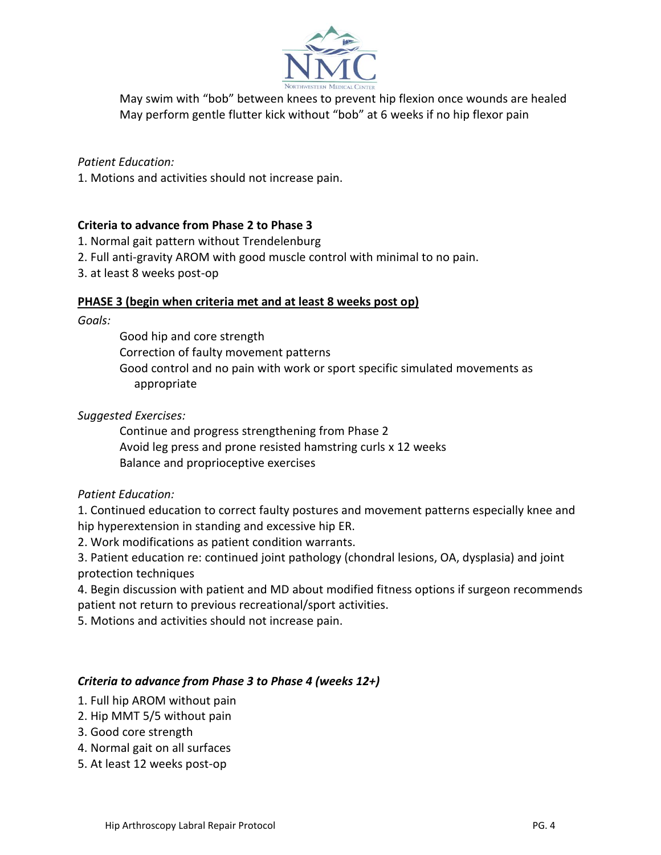

May swim with "bob" between knees to prevent hip flexion once wounds are healed May perform gentle flutter kick without "bob" at 6 weeks if no hip flexor pain

# *Patient Education:*

1. Motions and activities should not increase pain.

# **Criteria to advance from Phase 2 to Phase 3**

- 1. Normal gait pattern without Trendelenburg
- 2. Full anti-gravity AROM with good muscle control with minimal to no pain.
- 3. at least 8 weeks post-op

#### **PHASE 3 (begin when criteria met and at least 8 weeks post op)**

#### *Goals:*

Good hip and core strength Correction of faulty movement patterns Good control and no pain with work or sport specific simulated movements as appropriate

# *Suggested Exercises:*

Continue and progress strengthening from Phase 2 Avoid leg press and prone resisted hamstring curls x 12 weeks Balance and proprioceptive exercises

#### *Patient Education:*

1. Continued education to correct faulty postures and movement patterns especially knee and hip hyperextension in standing and excessive hip ER.

2. Work modifications as patient condition warrants.

3. Patient education re: continued joint pathology (chondral lesions, OA, dysplasia) and joint protection techniques

4. Begin discussion with patient and MD about modified fitness options if surgeon recommends patient not return to previous recreational/sport activities.

5. Motions and activities should not increase pain.

#### *Criteria to advance from Phase 3 to Phase 4 (weeks 12+)*

- 1. Full hip AROM without pain
- 2. Hip MMT 5/5 without pain
- 3. Good core strength
- 4. Normal gait on all surfaces
- 5. At least 12 weeks post-op